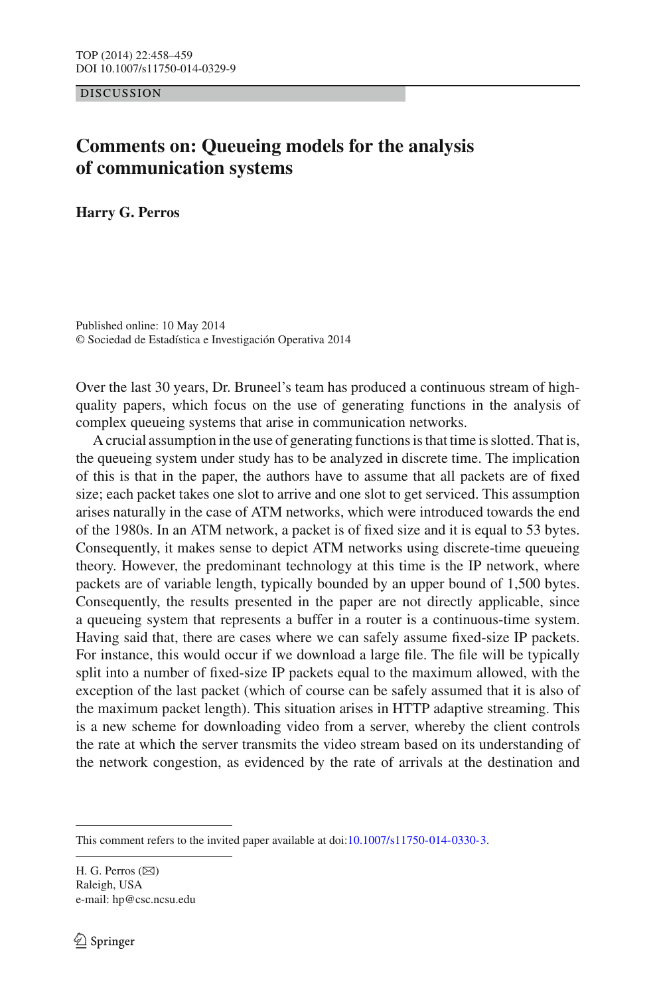DISCUSSION

## **Comments on: Queueing models for the analysis of communication systems**

**Harry G. Perros**

Published online: 10 May 2014 © Sociedad de Estadística e Investigación Operativa 2014

Over the last 30 years, Dr. Bruneel's team has produced a continuous stream of highquality papers, which focus on the use of generating functions in the analysis of complex queueing systems that arise in communication networks.

A crucial assumption in the use of generating functions is that time is slotted. That is, the queueing system under study has to be analyzed in discrete time. The implication of this is that in the paper, the authors have to assume that all packets are of fixed size; each packet takes one slot to arrive and one slot to get serviced. This assumption arises naturally in the case of ATM networks, which were introduced towards the end of the 1980s. In an ATM network, a packet is of fixed size and it is equal to 53 bytes. Consequently, it makes sense to depict ATM networks using discrete-time queueing theory. However, the predominant technology at this time is the IP network, where packets are of variable length, typically bounded by an upper bound of 1,500 bytes. Consequently, the results presented in the paper are not directly applicable, since a queueing system that represents a buffer in a router is a continuous-time system. Having said that, there are cases where we can safely assume fixed-size IP packets. For instance, this would occur if we download a large file. The file will be typically split into a number of fixed-size IP packets equal to the maximum allowed, with the exception of the last packet (which of course can be safely assumed that it is also of the maximum packet length). This situation arises in HTTP adaptive streaming. This is a new scheme for downloading video from a server, whereby the client controls the rate at which the server transmits the video stream based on its understanding of the network congestion, as evidenced by the rate of arrivals at the destination and

H. G. Perros  $(\boxtimes)$ Raleigh, USA e-mail: hp@csc.ncsu.edu

This comment refers to the invited paper available at doi[:10.1007/s11750-014-0330-3.](http://dx.doi.org/10.1007/s11750-014-0330-3)